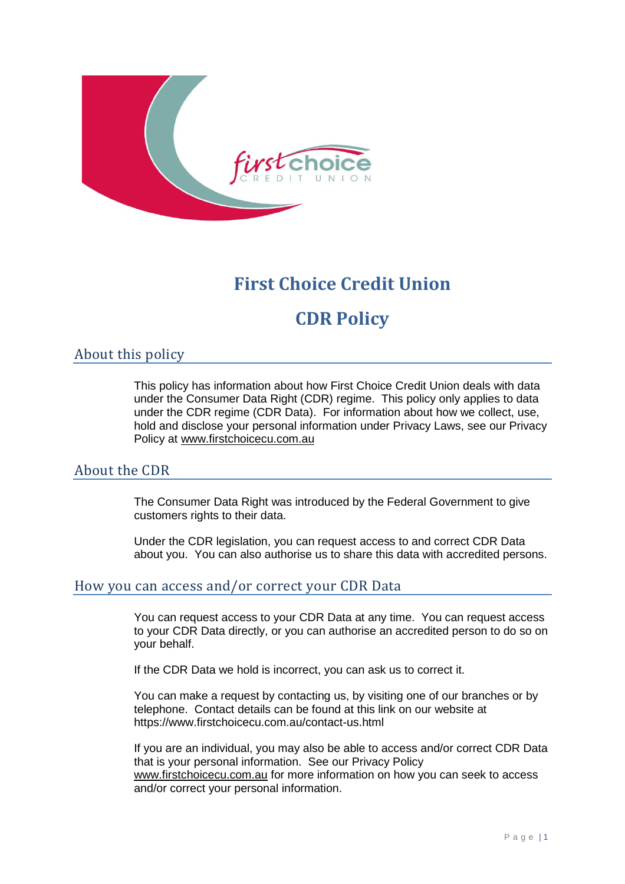

## **First Choice Credit Union**

# **CDR Policy**

### About this policy

This policy has information about how First Choice Credit Union deals with data under the Consumer Data Right (CDR) regime. This policy only applies to data under the CDR regime (CDR Data). For information about how we collect, use, hold and disclose your personal information under Privacy Laws, see our Privacy Policy at [www.firstchoicecu.com.au](http://www.firstchoicecu.com.au/)

#### About the CDR

The Consumer Data Right was introduced by the Federal Government to give customers rights to their data.

Under the CDR legislation, you can request access to and correct CDR Data about you. You can also authorise us to share this data with accredited persons.

#### How you can access and/or correct your CDR Data

You can request access to your CDR Data at any time. You can request access to your CDR Data directly, or you can authorise an accredited person to do so on your behalf.

If the CDR Data we hold is incorrect, you can ask us to correct it.

You can make a request by contacting us, by visiting one of our branches or by telephone. Contact details can be found at this link on our website at https://www.firstchoicecu.com.au/contact-us.html

If you are an individual, you may also be able to access and/or correct CDR Data that is your personal information. See our Privacy Policy [www.firstchoicecu.com.au](http://www.firstchoicecu.com.au/) for more information on how you can seek to access and/or correct your personal information.